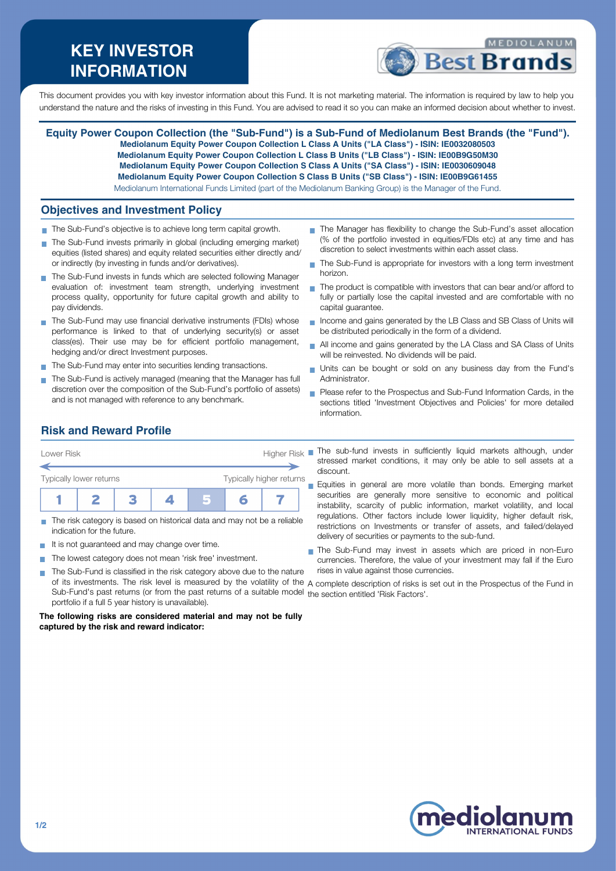# **KEY INVESTOR INFORMATION**



This document provides you with key investor information about this Fund. It is not marketing material. The information is required by law to help you understand the nature and the risks of investing in this Fund. You are advised to read it so you can make an informed decision about whether to invest.

**Equity Power Coupon Collection (the "Sub-Fund") is a Sub-Fund of Mediolanum Best Brands (the "Fund"). Mediolanum Equity Power Coupon Collection L Class A Units ("LA Class") - ISIN: IE0032080503 Mediolanum Equity Power Coupon Collection L Class B Units ("LB Class") - ISIN: IE00B9G50M30 Mediolanum Equity Power Coupon Collection S Class A Units ("SA Class") - ISIN: IE0030609048 Mediolanum Equity Power Coupon Collection S Class B Units ("SB Class") - ISIN: IE00B9G61455** Mediolanum International Funds Limited (part of the Mediolanum Banking Group) is the Manager of the Fund.

### **Objectives and Investment Policy**

- The Sub-Fund's objective is to achieve long term capital growth.
- The Sub-Fund invests primarily in global (including emerging market) equities (listed shares) and equity related securities either directly and/ or indirectly (by investing in funds and/or derivatives).
- The Sub-Fund invests in funds which are selected following Manager evaluation of: investment team strength, underlying investment process quality, opportunity for future capital growth and ability to pay dividends.
- The Sub-Fund may use financial derivative instruments (FDIs) whose performance is linked to that of underlying security(s) or asset class(es). Their use may be for efficient portfolio management, hedging and/or direct Investment purposes.
- The Sub-Fund may enter into securities lending transactions.
- The Sub-Fund is actively managed (meaning that the Manager has full discretion over the composition of the Sub-Fund's portfolio of assets) and is not managed with reference to any benchmark.
- The Manager has flexibility to change the Sub-Fund's asset allocation (% of the portfolio invested in equities/FDIs etc) at any time and has discretion to select investments within each asset class.
- The Sub-Fund is appropriate for investors with a long term investment horizon.
- $\blacksquare$  The product is compatible with investors that can bear and/or afford to fully or partially lose the capital invested and are comfortable with no capital guarantee.
- Income and gains generated by the LB Class and SB Class of Units will be distributed periodically in the form of a dividend.
- All income and gains generated by the LA Class and SA Class of Units will be reinvested. No dividends will be paid.
- Units can be bought or sold on any business day from the Fund's  $\mathbf{r}$ Administrator.
- **Please refer to the Prospectus and Sub-Fund Information Cards, in the** sections titled 'Investment Objectives and Policies' for more detailed information.

## **Risk and Reward Profile**



- The risk category is based on historical data and may not be a reliable indication for the future.
- It is not guaranteed and may change over time.
- The lowest category does not mean 'risk free' investment. **COL** The Sub-Fund is classified in the risk category above due to the nature  $\sim$
- stressed market conditions, it may only be able to sell assets at a discount. Equities in general are more volatile than bonds. Emerging market **COL**

securities are generally more sensitive to economic and political instability, scarcity of public information, market volatility, and local regulations. Other factors include lower liquidity, higher default risk, restrictions on Investments or transfer of assets, and failed/delayed delivery of securities or payments to the sub-fund.

- The Sub-Fund may invest in assets which are priced in non-Euro currencies. Therefore, the value of your investment may fall if the Euro rises in value against those currencies.
- of its investments. The risk level is measured by the volatility of the A complete description of risks is set out in the Prospectus of the Fund in Sub-Fund's past returns (or from the past returns of a suitable model the section entitled 'Risk Factors'.portfolio if a full 5 year history is unavailable).

**The following risks are considered material and may not be fully captured by the risk and reward indicator:**